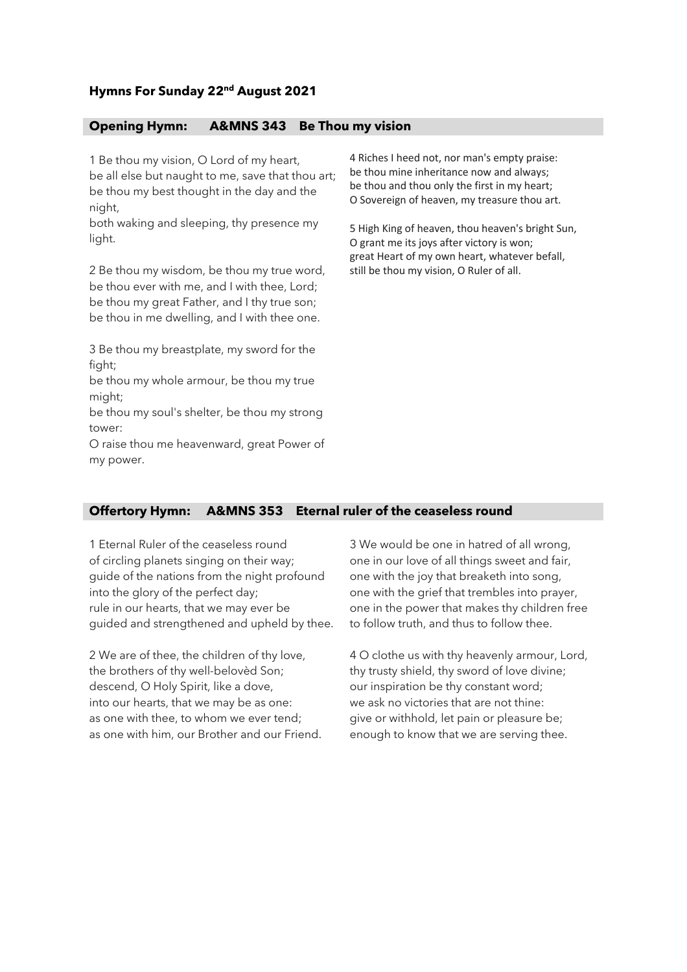# **Hymns For Sunday 22nd August 2021**

### **Opening Hymn: A&MNS 343 Be Thou my vision**

1 Be thou my vision, O Lord of my heart, be all else but naught to me, save that thou art; be thou my best thought in the day and the night,

both waking and sleeping, thy presence my light.

2 Be thou my wisdom, be thou my true word, be thou ever with me, and I with thee, Lord; be thou my great Father, and I thy true son; be thou in me dwelling, and I with thee one.

3 Be thou my breastplate, my sword for the fight:

be thou my whole armour, be thou my true might;

be thou my soul's shelter, be thou my strong tower:

O raise thou me heavenward, great Power of my power.

4 Riches I heed not, nor man's empty praise: be thou mine inheritance now and always; be thou and thou only the first in my heart; O Sovereign of heaven, my treasure thou art.

5 High King of heaven, thou heaven's bright Sun, O grant me its joys after victory is won; great Heart of my own heart, whatever befall, still be thou my vision, O Ruler of all.

## **Offertory Hymn: A&MNS 353 Eternal ruler of the ceaseless round**

1 Eternal Ruler of the ceaseless round of circling planets singing on their way; guide of the nations from the night profound into the glory of the perfect day; rule in our hearts, that we may ever be guided and strengthened and upheld by thee.

2 We are of thee, the children of thy love, the brothers of thy well-belovèd Son; descend, O Holy Spirit, like a dove, into our hearts, that we may be as one: as one with thee, to whom we ever tend; as one with him, our Brother and our Friend. 3 We would be one in hatred of all wrong, one in our love of all things sweet and fair, one with the joy that breaketh into song, one with the grief that trembles into prayer, one in the power that makes thy children free to follow truth, and thus to follow thee.

4 O clothe us with thy heavenly armour, Lord, thy trusty shield, thy sword of love divine; our inspiration be thy constant word; we ask no victories that are not thine: give or withhold, let pain or pleasure be; enough to know that we are serving thee.